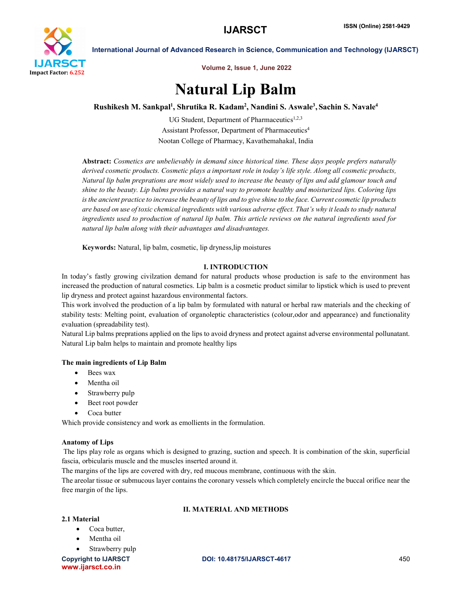

Volume 2, Issue 1, June 2022

# Natural Lip Balm

Rushikesh M. Sankpal<sup>1</sup>, Shrutika R. Kadam<sup>2</sup>, Nandini S. Aswale<sup>3</sup>, Sachin S. Navale<sup>4</sup>

UG Student, Department of Pharmaceutics<sup>1,2,3</sup> Assistant Professor, Department of Pharmaceutics<sup>4</sup> Nootan College of Pharmacy, Kavathemahakal, India

Abstract: *Cosmetics are unbelievably in demand since historical time. These days people prefers naturally derived cosmetic products. Cosmetic plays a important role in today's life style. Along all cosmetic products, Natural lip balm preprations are most widely used to increase the beauty of lips and add glamour touch and shine to the beauty. Lip balms provides a natural way to promote healthy and moisturized lips. Coloring lips is the ancient practice to increase the beauty of lips and to give shine to the face. Current cosmetic lip products are based on use of toxic chemical ingredients with various adverse effect. That's why it leads to study natural ingredients used to production of natural lip balm. This article reviews on the natural ingredients used for natural lip balm along with their advantages and disadvantages.*

Keywords: Natural, lip balm, cosmetic, lip dryness,lip moistures

# I. INTRODUCTION

In today's fastly growing civilzation demand for natural products whose production is safe to the environment has increased the production of natural cosmetics. Lip balm is a cosmetic product similar to lipstick which is used to prevent lip dryness and protect against hazardous environmental factors.

This work involved the production of a lip balm by formulated with natural or herbal raw materials and the checking of stability tests: Melting point, evaluation of organoleptic characteristics (colour,odor and appearance) and functionality evaluation (spreadability test).

Natural Lip balms preprations applied on the lips to avoid dryness and protect against adverse environmental pollunatant. Natural Lip balm helps to maintain and promote healthy lips

# The main ingredients of Lip Balm

- Bees wax
- Mentha oil
- Strawberry pulp
- Beet root powder
- Coca butter

Which provide consistency and work as emollients in the formulation.

# Anatomy of Lips

The lips play role as organs which is designed to grazing, suction and speech. It is combination of the skin, superficial fascia, orbicularis muscle and the muscles inserted around it.

The margins of the lips are covered with dry, red mucous membrane, continuous with the skin.

The areolar tissue or submucous layer contains the coronary vessels which completely encircle the buccal orifice near the free margin of the lips.

# II. MATERIAL AND METHODS

# 2.1 Material

- Coca butter,
- Mentha oil
- Strawberry pulp

www.ijarsct.co.in

Copyright to IJARSCT **DOI: 10.48175/IJARSCT-4617** 450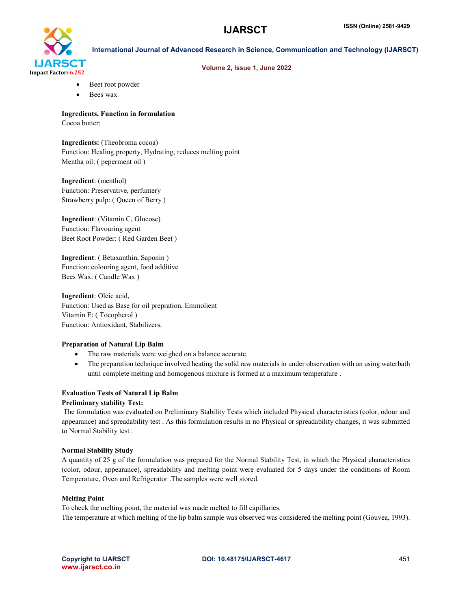

#### Volume 2, Issue 1, June 2022

- Beet root powder
- Bees wax

Ingredients, Function in formulation Cocoa butter:

Ingredients: (Theobroma cocoa) Function: Healing property, Hydrating, reduces melting point Mentha oil: ( peperment oil )

Ingredient: (menthol) Function: Preservative, perfumery Strawberry pulp: ( Queen of Berry )

Ingredient: (Vitamin C, Glucose) Function: Flavouring agent Beet Root Powder: ( Red Garden Beet )

Ingredient: ( Betaxanthin, Saponin ) Function: colouring agent, food additive Bees Wax: ( Candle Wax )

Ingredient: Oleic acid, Function: Used as Base for oil prepration, Emmolient Vitamin E: ( Tocopherol ) Function: Antioxidant, Stabilizers.

# Preparation of Natural Lip Balm

- The raw materials were weighed on a balance accurate.
- The preparation technique involved heating the solid raw materials in under observation with an using waterbath until complete melting and homogenous mixture is formed at a maximum temperature .

# Evaluation Tests of Natural Lip Balm

#### Preliminary stability Test:

The formulation was evaluated on Preliminary Stability Tests which included Physical characteristics (color, odour and appearance) and spreadability test . As this formulation results in no Physical or spreadability changes, it was submitted to Normal Stability test .

#### Normal Stability Study

A quantity of 25 g of the formulation was prepared for the Normal Stability Test, in which the Physical characteristics (color, odour, appearance), spreadability and melting point were evaluated for 5 days under the conditions of Room Temperature, Oven and Refrigerator .The samples were well stored.

# Melting Point

To check the melting point, the material was made melted to fill capillaries. The temperature at which melting of the lip balm sample was observed was considered the melting point (Gouvea, 1993).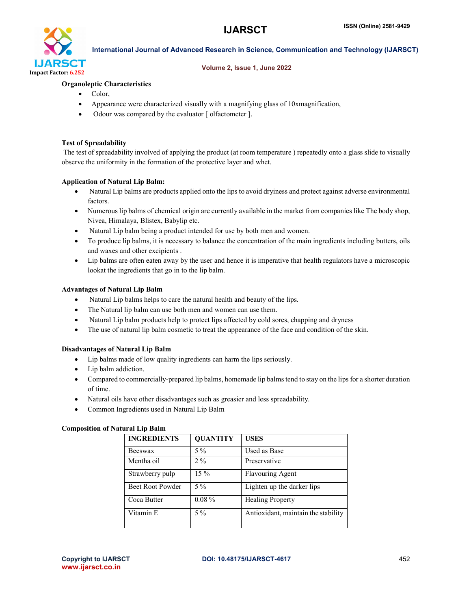

### Volume 2, Issue 1, June 2022

# Organoleptic Characteristics

- Color,
- Appearance were characterized visually with a magnifying glass of 10xmagnification,
- Odour was compared by the evaluator [ olfactometer ].

#### Test of Spreadability

The test of spreadability involved of applying the product (at room temperature ) repeatedly onto a glass slide to visually observe the uniformity in the formation of the protective layer and whet.

### Application of Natural Lip Balm:

- Natural Lip balms are products applied onto the lips to avoid dryiness and protect against adverse environmental factors.
- Numerous lip balms of chemical origin are currently available in the market from companies like The body shop, Nivea, Himalaya, Blistex, Babylip etc.
- Natural Lip balm being a product intended for use by both men and women.
- To produce lip balms, it is necessary to balance the concentration of the main ingredients including butters, oils and waxes and other excipients .
- Lip balms are often eaten away by the user and hence it is imperative that health regulators have a microscopic lookat the ingredients that go in to the lip balm.

### Advantages of Natural Lip Balm

- Natural Lip balms helps to care the natural health and beauty of the lips.
- The Natural lip balm can use both men and women can use them.
- Natural Lip balm products help to protect lips affected by cold sores, chapping and dryness
- The use of natural lip balm cosmetic to treat the appearance of the face and condition of the skin.

#### Disadvantages of Natural Lip Balm

- Lip balms made of low quality ingredients can harm the lips seriously.
- Lip balm addiction.
- Compared to commercially-prepared lip balms, homemade lip balms tend to stay on the lips for a shorter duration of time.
- Natural oils have other disadvantages such as greasier and less spreadability.
- Common Ingredients used in Natural Lip Balm

#### Composition of Natural Lip Balm

| <b>INGREDIENTS</b>      | <b>QUANTITY</b> | <b>USES</b>                         |
|-------------------------|-----------------|-------------------------------------|
| <b>Beeswax</b>          | $5\%$           | Used as Base                        |
| Mentha oil              | $2\%$           | Preservative                        |
| Strawberry pulp         | $15\%$          | <b>Flavouring Agent</b>             |
| <b>Beet Root Powder</b> | $5\%$           | Lighten up the darker lips          |
| Coca Butter             | $0.08 \%$       | <b>Healing Property</b>             |
| Vitamin E               | $5\%$           | Antioxidant, maintain the stability |